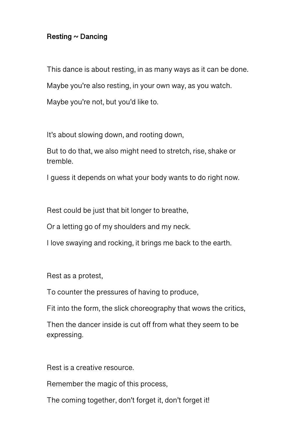## **Resting ~ Dancing**

This dance is about resting, in as many ways as it can be done.

Maybe you're also resting, in your own way, as you watch.

Maybe you're not, but you'd like to.

It's about slowing down, and rooting down,

But to do that, we also might need to stretch, rise, shake or tremble.

I guess it depends on what your body wants to do right now.

Rest could be just that bit longer to breathe,

Or a letting go of my shoulders and my neck.

I love swaying and rocking, it brings me back to the earth.

Rest as a protest,

To counter the pressures of having to produce,

Fit into the form, the slick choreography that wows the critics,

Then the dancer inside is cut off from what they seem to be expressing.

Rest is a creative resource.

Remember the magic of this process,

The coming together, don't forget it, don't forget it!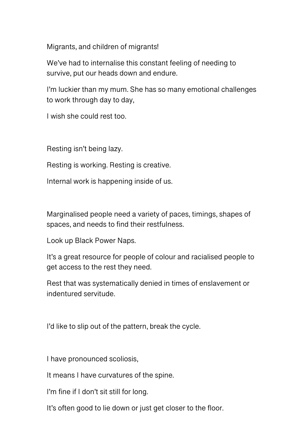Migrants, and children of migrants!

We've had to internalise this constant feeling of needing to survive, put our heads down and endure.

I'm luckier than my mum. She has so many emotional challenges to work through day to day,

I wish she could rest too.

Resting isn't being lazy.

Resting is working. Resting is creative.

Internal work is happening inside of us.

Marginalised people need a variety of paces, timings, shapes of spaces, and needs to find their restfulness.

Look up Black Power Naps.

It's a great resource for people of colour and racialised people to get access to the rest they need.

Rest that was systematically denied in times of enslavement or indentured servitude.

I'd like to slip out of the pattern, break the cycle.

I have pronounced scoliosis,

It means I have curvatures of the spine.

I'm fine if I don't sit still for long.

It's often good to lie down or just get closer to the floor.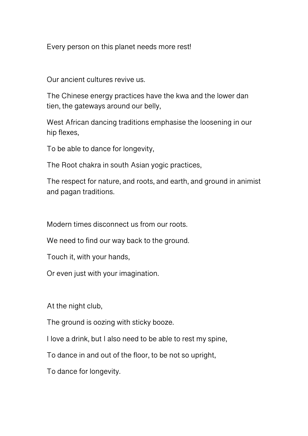Every person on this planet needs more rest!

Our ancient cultures revive us.

The Chinese energy practices have the kwa and the lower dan tien, the gateways around our belly,

West African dancing traditions emphasise the loosening in our hip flexes,

To be able to dance for longevity,

The Root chakra in south Asian yogic practices,

The respect for nature, and roots, and earth, and ground in animist and pagan traditions.

Modern times disconnect us from our roots.

We need to find our way back to the ground.

Touch it, with your hands,

Or even just with your imagination.

At the night club,

The ground is oozing with sticky booze.

I love a drink, but I also need to be able to rest my spine,

To dance in and out of the floor, to be not so upright,

To dance for longevity.